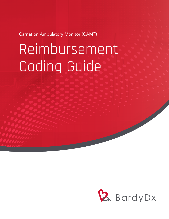Carnation Ambulatory Monitor (CAM™)

# Reimbursement Coding Guide

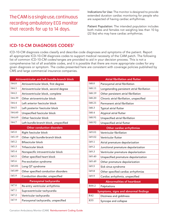The CAM is a single use, continuous recording ambulatory ECG monitor that records for up to 14 days.

Indications for Use: The monitor is designed to provide extended duration cardiac monitoring for people who are suspected of having cardiac arrhythmias.

Patient Population: The intended population includes both males and females not weighing less than 10 kg (22 lbs) who may have cardiac arrhythmias.

### **ICD-10-CM DIAGNOSIS CODES1**

ICD-10-CM diagnosis codes classify and describe code diagnoses and symptoms of the patient. Report all appropriate ICD-10-CM diagnosis codes to support medical necessity of the CAM patch. The following list of common ICD-10-CM codes/ranges are provided to aid in your decision process. This is not a comprehensive list of all available codes, and it is possible that there are more appropriate codes for any given diagnosis or symptom. The codes presented here are consistent with coverage policies published by CMS and large commercial insurance companies.

| Atrioventricular and left bundle-branch block |                                       |  |  |  |
|-----------------------------------------------|---------------------------------------|--|--|--|
| I44.0                                         | Atrioventricular block, first degree  |  |  |  |
| <b>I44.1</b>                                  | Atrioventricular block, second degree |  |  |  |
| I44.2                                         | Atrioventricular block, complete      |  |  |  |
| 144.39                                        | Other atrioventricular block          |  |  |  |
| I44.4                                         | Left anterior fascicular block        |  |  |  |
| I44.5                                         | Left posterior fascicular block       |  |  |  |
| I44.60                                        | Unspecified fascicular block          |  |  |  |
| I44.69                                        | Other fascicular block                |  |  |  |
| I44.7                                         | Left bundle-branch block, unspecified |  |  |  |
|                                               | <b>Other conduction disorders</b>     |  |  |  |
| I <sub>45.0</sub>                             | Right fascicular block                |  |  |  |
| I45.19                                        | Other right bundle-branch block       |  |  |  |
| I <sub>45.2</sub>                             | <b>Bifascicular block</b>             |  |  |  |
| I45.3                                         | Trifascicular block                   |  |  |  |
| 145.4                                         | Nonspecific intraventricular block    |  |  |  |
| I <sub>45.5</sub>                             | Other specified heart block           |  |  |  |
| I <sub>45.6</sub>                             | Pre-excitation syndrome               |  |  |  |
| I45.81                                        | Long QT syndrome                      |  |  |  |
| I45.89                                        | Other specified conduction disorders  |  |  |  |
| I45.9                                         | Conduction disorder, unspecified      |  |  |  |
|                                               | Paroxysmal tachycardia                |  |  |  |
| I47.0                                         | Re-entry ventricular arrhythmia       |  |  |  |
| I47.1                                         | Supraventricular tachycardia          |  |  |  |
| I47.2                                         | Ventricular tachycardia               |  |  |  |
| I47.9                                         | Paroxysmal tachycardia, unspecified   |  |  |  |

| <b>Atrial fibrillation and flutter</b> |                                             |  |  |  |  |
|----------------------------------------|---------------------------------------------|--|--|--|--|
| I <sub>48.0</sub>                      | Paroxysmal atrial fibrillation              |  |  |  |  |
| <b>I48.11</b>                          | Longstanding persistent atrial fibrillation |  |  |  |  |
| I48.19                                 | Other persistent atrial fibrillation        |  |  |  |  |
| I48.20                                 | Chronic atrial fibrillation, unspecified    |  |  |  |  |
| I48.21                                 | Permanent atrial fibrillation               |  |  |  |  |
| <b>I48.3</b>                           | Typical atrial flutter                      |  |  |  |  |
| <b>I48.4</b>                           | Atypical atrial flutter                     |  |  |  |  |
| I <sub>48.91</sub>                     | Unspecified atrial fibrillation             |  |  |  |  |
| I48.92                                 | Unspecified atrial flutter                  |  |  |  |  |
|                                        | Other cardiac arrhythmias                   |  |  |  |  |
| I49.01                                 | Ventricular fibrillation                    |  |  |  |  |
| I49.02                                 | Ventricular flutter                         |  |  |  |  |
| I <sub>49.1</sub>                      | Atrial premature depolarization             |  |  |  |  |
| I49.2                                  | Junctional premature depolarization         |  |  |  |  |
| I49.3                                  | Ventricular premature depolarization        |  |  |  |  |
| I49.40                                 | Unspecified premature depolarization        |  |  |  |  |
| I49.49                                 | Other premature depolarization              |  |  |  |  |
| I <sub>49.5</sub>                      | Sick sinus syndrome                         |  |  |  |  |
| I49.8                                  | Other specified cardiac arrhythmias         |  |  |  |  |
| I49.9                                  | Cardiac arrhythmia, unspecified             |  |  |  |  |
|                                        | <b>Abnormalities of heartbeat</b>           |  |  |  |  |
| R00.2                                  | Palpitations                                |  |  |  |  |
|                                        | Symptoms, signs and abnormal findings       |  |  |  |  |
| R42                                    | Dizziness and giddiness                     |  |  |  |  |
| <b>R55</b>                             | Syncope and collapse                        |  |  |  |  |
|                                        |                                             |  |  |  |  |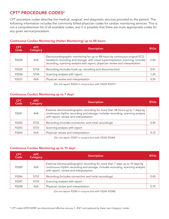## CPT® PROCEDURE CODES2

CPT procedure codes describe the medical, surgical, and diagnostic services provided to the patient. The following information includes the commonly billed physician codes for cardiac monitoring services. This is not a comprehensive list of all available codes, and it is possible that there are more appropriate codes for any given service/procedure.

#### Continuous Cardiac Monitoring (Holter Monitoring) up to 48 hours

| <b>CPT</b><br>Code | <b>APC</b><br>Category | <b>Description</b>                                                                                                                                                                                                                               | <b>RVU<sub>s</sub></b> |
|--------------------|------------------------|--------------------------------------------------------------------------------------------------------------------------------------------------------------------------------------------------------------------------------------------------|------------------------|
| 93224              | N/A                    | Electrocardiographic monitoring for up to 48 hours by continuous original ECG<br>waveform recording and storage, with visual superimposition scanning; includes<br>recording, scanning analysis with report, physician review and interpretation | 2.40                   |
| 93225              | 5734                   | Recording (includes hook-up, recording and disconnection)                                                                                                                                                                                        | 0.61                   |
| 93226              | 5734                   | Scanning analysis with report                                                                                                                                                                                                                    | 1.24                   |
| 93227              | N/A                    | Physician review and interpretation                                                                                                                                                                                                              | 0.55                   |

*(Do not report 93224 in conjunction with 93225-93227)*

#### Continuous Cardiac Monitoring up to 7 days\*

| <b>CPT</b><br>Code | APC.<br>Category | <b>Description</b>                                                                                                                                                                                         | <b>RVU<sub>s</sub></b> |
|--------------------|------------------|------------------------------------------------------------------------------------------------------------------------------------------------------------------------------------------------------------|------------------------|
| 93241              | N/A              | External electrocardiographic recording for more than 48 hours up to 7 days by<br>continuous rhythm recording and storage; includes recording, scanning analysis<br>with report, review and interpretation |                        |
| 93242              | 5732             | Recording (includes connection and initial recordings)                                                                                                                                                     | 0.45                   |
| 93243              | 5733             | Scanning analysis with report                                                                                                                                                                              |                        |
| 93244              | N/A              | Physician review and interpretation                                                                                                                                                                        | O 72                   |

*(Do not report 93241 in conjunction with 93242-93244)*

#### Continuous Cardiac Monitoring up to 15 days\*

| <b>CPT</b><br>Code | APC<br>Category | <b>Description</b>                                                                                                                                                                                        | <b>RVU<sub>s</sub></b> |
|--------------------|-----------------|-----------------------------------------------------------------------------------------------------------------------------------------------------------------------------------------------------------|------------------------|
| 93245              | N/A             | External electrocardiographic recording for more than 7 days up to 15 days by<br>continuous rhythm recording and storage; includes recording, scanning analysis<br>with report, review and interpretation |                        |
| 93246              | 5733            | Recording (includes connection and initial recordings)                                                                                                                                                    | 0.45                   |
| 93247              | 5734            | Scanning analysis with report                                                                                                                                                                             |                        |
| 93248              | N/A             | Physician review and interpretation                                                                                                                                                                       | በ 79                   |

*(Do not report 93245 in conjunction with 93246-93248)*